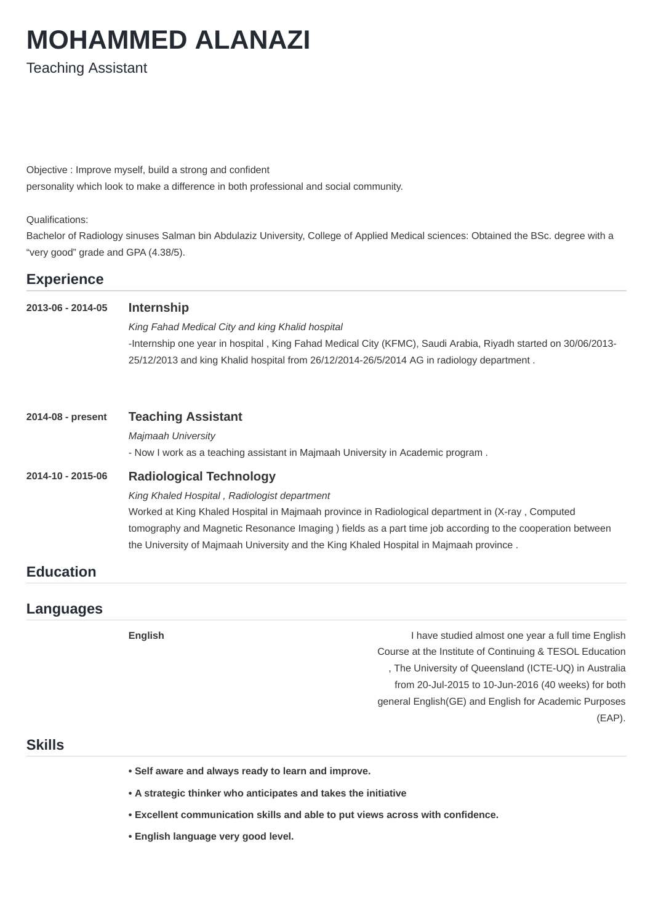# **MOHAMMED ALANAZI**

**Teaching Assistant** 

Objective : Improve myself, build a strong and confident personality which look to make a difference in both professional and social community.

#### Qualifications:

Bachelor of Radiology sinuses Salman bin Abdulaziz University, College of Applied Medical sciences: Obtained the BSc. degree with a "very good" grade and GPA (4.38/5).

# **Experience**

## **2013-06 - 2014-05 Internship**

King Fahad Medical City and king Khalid hospital -Internship one year in hospital, King Fahad Medical City (KFMC), Saudi Arabia, Riyadh started on 30/06/2013-25/12/2013 and king Khalid hospital from 26/12/2014-26/5/2014 AG in radiology department.

## **2014-08 - present Teaching Assistant**

*Majmaah University*

- Now I work as a teaching assistant in Majmaah University in Academic program.

**English English English I** have studied almost one year a full time English Course at the Institute of Continuing & TESOL Education , The University of Queensland (ICTE-UQ) in Australia from 20-Jul-2015 to 10-Jun-2016 (40 weeks) for both general English(GE) and English for Academic Purposes (EAP).

## **2014-10 - 2015-06 Radiological Technology**

#### *King Khaled Hospital , Radiologist department*

Worked at King Khaled Hospital in Majmaah province in Radiological department in (X-ray, Computed tomography and Magnetic Resonance Imaging ) fields as a part time job according to the cooperation between the University of Majmaah University and the King Khaled Hospital in Majmaah province.

# **Education**

## **Languages**

# **Skills**

- **• Self aware and always ready to learn and improve.**
- **• A strategic thinker who anticipates and takes the initiative**
- **Excellent communication skills and able to put views across with confidence.**
- **• English language very good level.**